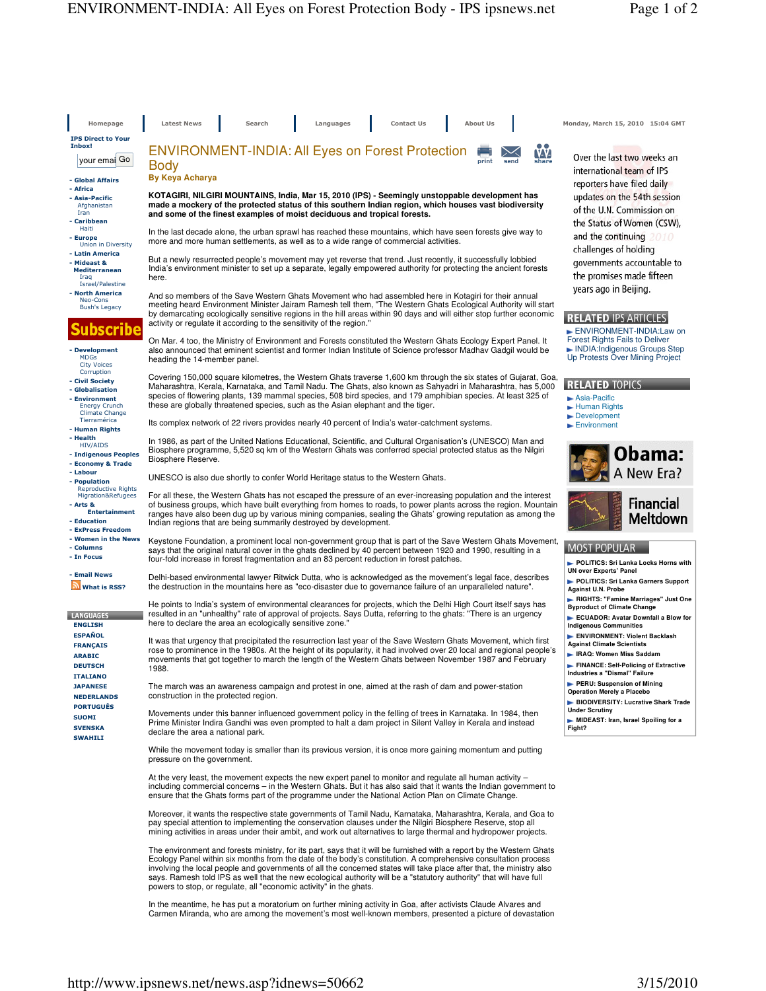Homepage Latest News Search Languages Contact Us About Us Monday, March 15, 2010 15:04 GMT IPS Direct to Your Inbox! ENVIRONMENT-INDIA: All Eyes on Forest Protection VV. your emai Go Body **By Keya Acharya** - Global Affairs - Africa **KOTAGIRI, NILGIRI MOUNTAINS, India, Mar 15, 2010 (IPS) - Seemingly unstoppable development has**  - Asia-Pacific **made a mockery of the protected status of this southern Indian region, which houses vast biodiversity**  Afghanist Iran **and some of the finest examples of moist deciduous and tropical forests.** - Caribbean Haiti In the last decade alone, the urban sprawl has reached these mountains, which have seen forests give way to - Europe Union in Diversity more and more human settlements, as well as to a wide range of commercial activities. - Latin America But a newly resurrected people's movement may yet reverse that trend. Just recently, it successfully lobbied India's environment minister to set up a separate, legally empowered authority for protecting the ancient forests - Mideast & Mediterranean here. Iraq Israel/Palestine years ago in Beijing. - North America And so members of the Save Western Ghats Movement who had assembled here in Kotagiri for their annual Neo-Cons Bush's Legacy meeting heard Environment Minister Jairam Ramesh tell them, "The Western Ghats Ecological Authority will start by demarcating ecologically sensitive regions in the hill areas within 90 days and will either stop further economic activity or regulate it according to the sensitivity of the region." Subscribe On Mar. 4 too, the Ministry of Environment and Forests constituted the Western Ghats Ecology Expert Panel. It also announced that eminent scientist and former Indian Institute of Science professor Madhav Gadgil would be - Development MDGs City Voices heading the 14-member panel. **Corruption** Covering 150,000 square kilometres, the Western Ghats traverse 1,600 km through the six states of Gujarat, Goa, Civil Society **RELATED TOPICS** Maharashtra, Kerala, Karnataka, and Tamil Nadu. The Ghats, also known as Sahyadri in Maharashtra, has 5,000 - Globalisation species of flowering plants, 139 mammal species, 508 bird species, and 179 amphibian species. At least 325 of **Asia-Pacific**  - Environment Energy Crunch these are globally threatened species, such as the Asian elephant and the tiger. Human Rights Climate Change Tierramérica Development Its complex network of 22 rivers provides nearly 40 percent of India's water-catchment systems. Environment - Human Rights - Health In 1986, as part of the United Nations Educational, Scientific, and Cultural Organisation's (UNESCO) Man and HIV/AIDS Biosphere programme, 5,520 sq km of the Western Ghats was conferred special protected status as the Nilgiri - Indigenous Peoples Biosphere Reserve. - Economy & Trade - Labour UNESCO is also due shortly to confer World Heritage status to the Western Ghats. **- Population**<br>Reproductive Rights<br>Migration&Refugees For all these, the Western Ghats has not escaped the pressure of an ever-increasing population and the interest - Arts & of business groups, which have built everything from homes to roads, to power plants across the region. Mountain **Entertainment** ranges have also been dug up by various mining companies, sealing the Ghats' growing reputation as among the - Education Indian regions that are being summarily destroyed by development. - ExPress Freedom - Women in the News Keystone Foundation, a prominent local non-government group that is part of the Save Western Ghats Movement, - Columns **MOST POPULAR** says that the original natural cover in the ghats declined by 40 percent between 1920 and 1990, resulting in a - In Focus four-fold increase in forest fragmentation and an 83 percent reduction in forest patches. **UN over Experts' Panel Email News** Delhi-based environmental lawyer Ritwick Dutta, who is acknowledged as the movement's legal face, describes What is RSS? the destruction in the mountains here as "eco-disaster due to governance failure of an unparalleled nature". **Against U.N. Probe RIGHTS: "Famine Marriages" Just One**  He points to India's system of environmental clearances for projects, which the Delhi High Court itself says has<br>resulted in an "unhealthy" rate of approval of projects. Says Dutta, referring to the ghats: "There is an urg **LANGUAGES ECUADOR: Avatar Downfall a Blow for ENGLISH** here to declare the area an ecologically sensitive zone." **Indigenous Communities ESPAÑOL** It was that urgency that precipitated the resurrection last year of the Save Western Ghats Movement, which first **FRANCAIS Against Climate Scientists** rose to prominence in the 1980s. At the height of its popularity, it had involved over 20 local and regional people's **IRAQ: Women Miss Saddam**  ARABIC movements that got together to march the length of the Western Ghats between November 1987 and February **DEUTSCH** 1988. **Industries a "Dismal" Failure**  ITALIANO JAPANESE The march was an awareness campaign and protest in one, aimed at the rash of dam and power-station **Operation Merely a Placebo** NEDERLANDS construction in the protected region. **PORTUGUÊS Under Scrutiny** Movements under this banner influenced government policy in the felling of trees in Karnataka. In 1984, then SUOMI Prime Minister Indira Gandhi was even prompted to halt a dam project in Silent Valley in Kerala and instead **SVENSKA** declare the area a national park. SWAHILI While the movement today is smaller than its previous version, it is once more gaining momentum and putting pressure on the government. At the very least, the movement expects the new expert panel to monitor and regulate all human activity – including commercial concerns – in the Western Ghats. But it has also said that it wants the Indian government to ensure that the Ghats forms part of the programme under the National Action Plan on Climate Change. Moreover, it wants the respective state governments of Tamil Nadu, Karnataka, Maharashtra, Kerala, and Goa to pay special attention to implementing the conservation clauses under the Nilgiri Biosphere Reserve, stop all mining activities in areas under their ambit, and work out alternatives to large thermal and hydropower projects. The environment and forests ministry, for its part, says that it will be furnished with a report by the Western Ghats Ecology Panel within six months from the date of the body's constitution. A comprehensive consultation process involving the local people and governments of all the concerned states will take place after that, the ministry also says. Ramesh told IPS as well that the new ecological authority will be a "statutory authority" that will have full

> In the meantime, he has put a moratorium on further mining activity in Goa, after activists Claude Alvares and Carmen Miranda, who are among the movement's most well-known members, presented a picture of devastation

Over the last two weeks an international team of IPS reporters have filed daily updates on the 54th session of the U.N. Commission on the Status of Women (CSW), and the continuing challenges of holding governments accountable to the promises made fifteen

## **RELATED IPS ARTICLES**

 ENVIRONMENT-INDIA:Law on Forest Rights Fails to Deliver INDIA:Indigenous Groups Step Up Protests Over Mining Project





- **POLITICS: Sri Lanka Locks Horns with**
- **POLITICS: Sri Lanka Garners Support**
- **Byproduct of Climate Change**
- 
- **ENVIRONMENT: Violent Backlash**
- 
- **FINANCE: Self-Policing of Extractive**
- **PERU: Suspension of Mining**
- 
- **BIODIVERSITY: Lucrative Shark Trade**
- 
- **MIDEAST: Iran, Israel Spoiling for a Fight?**

powers to stop, or regulate, all "economic activity" in the ghats.